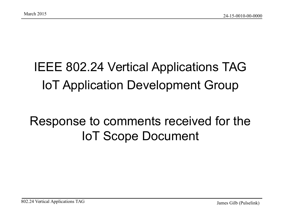#### IEEE 802.24 Vertical Applications TAG IoT Application Development Group

#### Response to comments received for the IoT Scope Document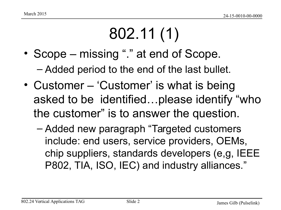# 802.11 (1)

• Scope – missing "." at end of Scope.

– Added period to the end of the last bullet.

- Customer 'Customer' is what is being asked to be identified…please identify "who the customer" is to answer the question.
	- Added new paragraph "Targeted customers include: end users, service providers, OEMs, chip suppliers, standards developers (e,g, IEEE P802, TIA, ISO, IEC) and industry alliances."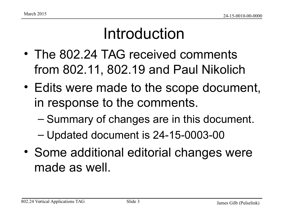#### Introduction

- The 802.24 TAG received comments from 802.11, 802.19 and Paul Nikolich
- Edits were made to the scope document, in response to the comments.
	- Summary of changes are in this document.
	- Updated document is 24-15-0003-00
- Some additional editorial changes were made as well.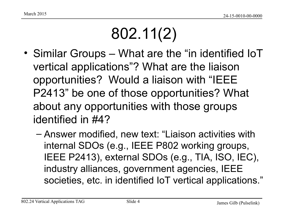### 802.11(2)

- Similar Groups What are the "in identified IoT vertical applications"? What are the liaison opportunities? Would a liaison with "IEEE P2413" be one of those opportunities? What about any opportunities with those groups identified in #4?
	- Answer modified, new text: "Liaison activities with internal SDOs (e.g., IEEE P802 working groups, IEEE P2413), external SDOs (e.g., TIA, ISO, IEC), industry alliances, government agencies, IEEE societies, etc. in identified IoT vertical applications."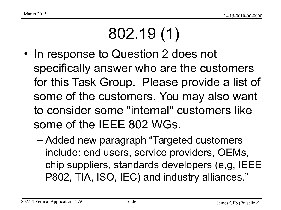# 802.19 (1)

- In response to Question 2 does not specifically answer who are the customers for this Task Group. Please provide a list of some of the customers. You may also want to consider some "internal" customers like some of the IEEE 802 WGs.
	- Added new paragraph "Targeted customers include: end users, service providers, OEMs, chip suppliers, standards developers (e,g, IEEE P802, TIA, ISO, IEC) and industry alliances."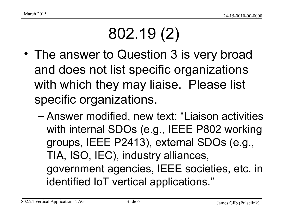# 802.19 (2)

- The answer to Question 3 is very broad and does not list specific organizations with which they may liaise. Please list specific organizations.
	- Answer modified, new text: "Liaison activities with internal SDOs (e.g., IEEE P802 working groups, IEEE P2413), external SDOs (e.g., TIA, ISO, IEC), industry alliances, government agencies, IEEE societies, etc. in identified IoT vertical applications."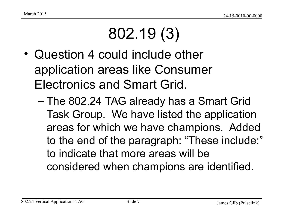## 802.19 (3)

- Question 4 could include other application areas like Consumer Electronics and Smart Grid.
	- The 802.24 TAG already has a Smart Grid Task Group. We have listed the application areas for which we have champions. Added to the end of the paragraph: "These include:" to indicate that more areas will be considered when champions are identified.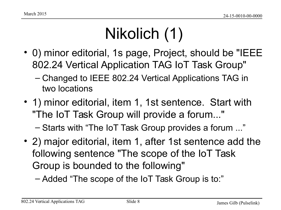### Nikolich (1)

- 0) minor editorial, 1s page, Project, should be "IEEE 802.24 Vertical Application TAG IoT Task Group"
	- Changed to IEEE 802.24 Vertical Applications TAG in two locations
- 1) minor editorial, item 1, 1st sentence. Start with "The IoT Task Group will provide a forum..."

– Starts with "The IoT Task Group provides a forum ..."

- 2) major editorial, item 1, after 1st sentence add the following sentence "The scope of the IoT Task Group is bounded to the following"
	- Added "The scope of the IoT Task Group is to:"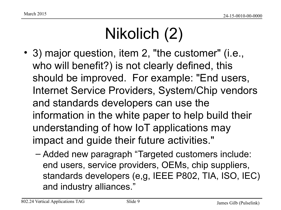### Nikolich (2)

- 3) major question, item 2, "the customer" (i.e., who will benefit?) is not clearly defined, this should be improved. For example: "End users, Internet Service Providers, System/Chip vendors and standards developers can use the information in the white paper to help build their understanding of how IoT applications may impact and guide their future activities."
	- Added new paragraph "Targeted customers include: end users, service providers, OEMs, chip suppliers, standards developers (e,g, IEEE P802, TIA, ISO, IEC) and industry alliances."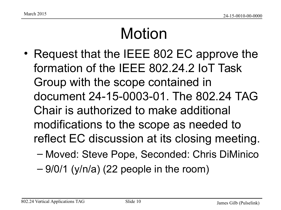#### Motion

- Request that the IEEE 802 EC approve the formation of the IEEE 802.24.2 IoT Task Group with the scope contained in document 24-15-0003-01. The 802.24 TAG Chair is authorized to make additional modifications to the scope as needed to reflect EC discussion at its closing meeting.
	- Moved: Steve Pope, Seconded: Chris DiMinico
	- $-9/0/1$  (y/n/a) (22 people in the room)